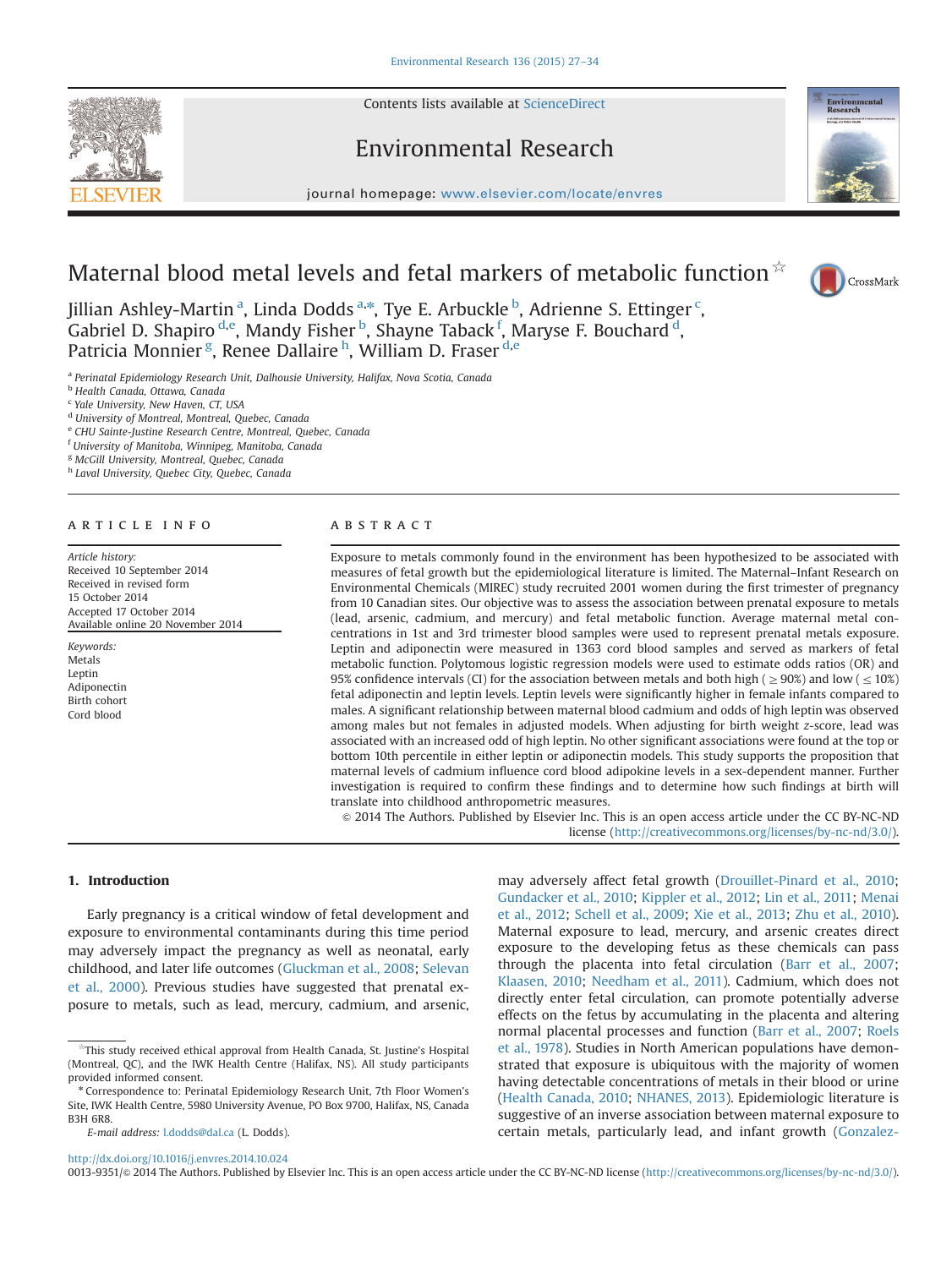Contents lists available at [ScienceDirect](www.sciencedirect.com/science/journal/00139351)



journal homepage: <www.elsevier.com/locate/envres>se $\mathcal{C}$ 

Environmental Research

# Maternal blood metal levels and fetal markers of metabolic function  $\dot{\mathbb{R}}$



Jillian Ashley-Martin <sup>a</sup>, Linda Dodds <sup>a,\*</sup>, Tye E. Arbuckle <sup>b</sup>, Adrienne S. Ettinger <sup>c</sup>, Gabriel D. Shapiro <sup>d,e</sup>, Mandy Fisher <sup>b</sup>, Shayne Taback <sup>f</sup>, Maryse F. Bouchard <sup>d</sup>, Patricia Monnier<sup>g</sup>, Renee Dallaire<sup>h</sup>, William D. Fraser<sup>d,e</sup>

<sup>a</sup> Perinatal Epidemiology Research Unit, Dalhousie University, Halifax, Nova Scotia, Canada

<sup>b</sup> Health Canada, Ottawa, Canada

<sup>c</sup> Yale University, New Haven, CT, USA

<sup>d</sup> University of Montreal, Montreal, Quebec, Canada

<sup>e</sup> CHU Sainte-Justine Research Centre, Montreal, Quebec, Canada

<sup>f</sup> University of Manitoba, Winnipeg, Manitoba, Canada

<sup>g</sup> McGill University, Montreal, Quebec, Canada

<sup>h</sup> Laval University, Quebec City, Quebec, Canada

### article info

Article history: Received 10 September 2014 Received in revised form 15 October 2014 Accepted 17 October 2014 Available online 20 November 2014

Keywords: Metals Leptin Adiponectin Birth cohort Cord blood

# ABSTRACT

Exposure to metals commonly found in the environment has been hypothesized to be associated with measures of fetal growth but the epidemiological literature is limited. The Maternal–Infant Research on Environmental Chemicals (MIREC) study recruited 2001 women during the first trimester of pregnancy from 10 Canadian sites. Our objective was to assess the association between prenatal exposure to metals (lead, arsenic, cadmium, and mercury) and fetal metabolic function. Average maternal metal concentrations in 1st and 3rd trimester blood samples were used to represent prenatal metals exposure. Leptin and adiponectin were measured in 1363 cord blood samples and served as markers of fetal metabolic function. Polytomous logistic regression models were used to estimate odds ratios (OR) and 95% confidence intervals (CI) for the association between metals and both high ( $\geq$ 90%) and low ( $\leq$ 10%) fetal adiponectin and leptin levels. Leptin levels were significantly higher in female infants compared to males. A significant relationship between maternal blood cadmium and odds of high leptin was observed among males but not females in adjusted models. When adjusting for birth weight z-score, lead was associated with an increased odd of high leptin. No other significant associations were found at the top or bottom 10th percentile in either leptin or adiponectin models. This study supports the proposition that maternal levels of cadmium influence cord blood adipokine levels in a sex-dependent manner. Further investigation is required to confirm these findings and to determine how such findings at birth will translate into childhood anthropometric measures.

& 2014 The Authors. Published by Elsevier Inc. This is an open access article under the CC BY-NC-ND license (http://creativecommons.org/licenses/by-nc-nd/3.0/).

## 1. Introduction

Early pregnancy is a critical window of fetal development and exposure to environmental contaminants during this time period may adversely impact the pregnancy as well as neonatal, early childhood, and later life outcomes [\(Gluckman et al., 2008](#page-6-0); [Selevan](#page-7-0) [et al., 2000\)](#page-7-0). Previous studies have suggested that prenatal exposure to metals, such as lead, mercury, cadmium, and arsenic, may adversely affect fetal growth ([Drouillet-Pinard et al., 2010;](#page-6-0) [Gundacker et al., 2010](#page-6-0); [Kippler et al., 2012](#page-6-0); [Lin et al., 2011](#page-6-0); [Menai](#page-7-0) [et al., 2012;](#page-7-0) [Schell et al., 2009](#page-7-0); [Xie et al., 2013;](#page-7-0) [Zhu et al., 2010\)](#page-7-0). Maternal exposure to lead, mercury, and arsenic creates direct exposure to the developing fetus as these chemicals can pass through the placenta into fetal circulation ([Barr et al., 2007;](#page-6-0) [Klaasen, 2010](#page-6-0); [Needham et al., 2011](#page-7-0)). Cadmium, which does not directly enter fetal circulation, can promote potentially adverse effects on the fetus by accumulating in the placenta and altering normal placental processes and function [\(Barr et al., 2007;](#page-6-0) [Roels](#page-7-0) [et al., 1978\)](#page-7-0). Studies in North American populations have demonstrated that exposure is ubiquitous with the majority of women having detectable concentrations of metals in their blood or urine ([Health Canada, 2010;](#page-6-0) [NHANES, 2013](#page-7-0)). Epidemiologic literature is suggestive of an inverse association between maternal exposure to certain metals, particularly lead, and infant growth ([Gonzalez-](#page-6-0)

<http://dx.doi.org/10.1016/j.envres.2014.10.024>

0013-9351/& 2014 The Authors. Published by Elsevier Inc. This is an open access article under the CC BY-NC-ND license (http://creativecommons.org/licenses/by-nc-nd/3.0/).

<sup>☆</sup>This study received ethical approval from Health Canada, St. Justine's Hospital (Montreal, QC), and the IWK Health Centre (Halifax, NS). All study participants provided informed consent.

Correspondence to: Perinatal Epidemiology Research Unit, 7th Floor Women's Site, IWK Health Centre, 5980 University Avenue, PO Box 9700, Halifax, NS, Canada B3H 6R8.

E-mail address: [l.dodds@dal.ca](mailto:l.dodds@dal.ca) (L. Dodds).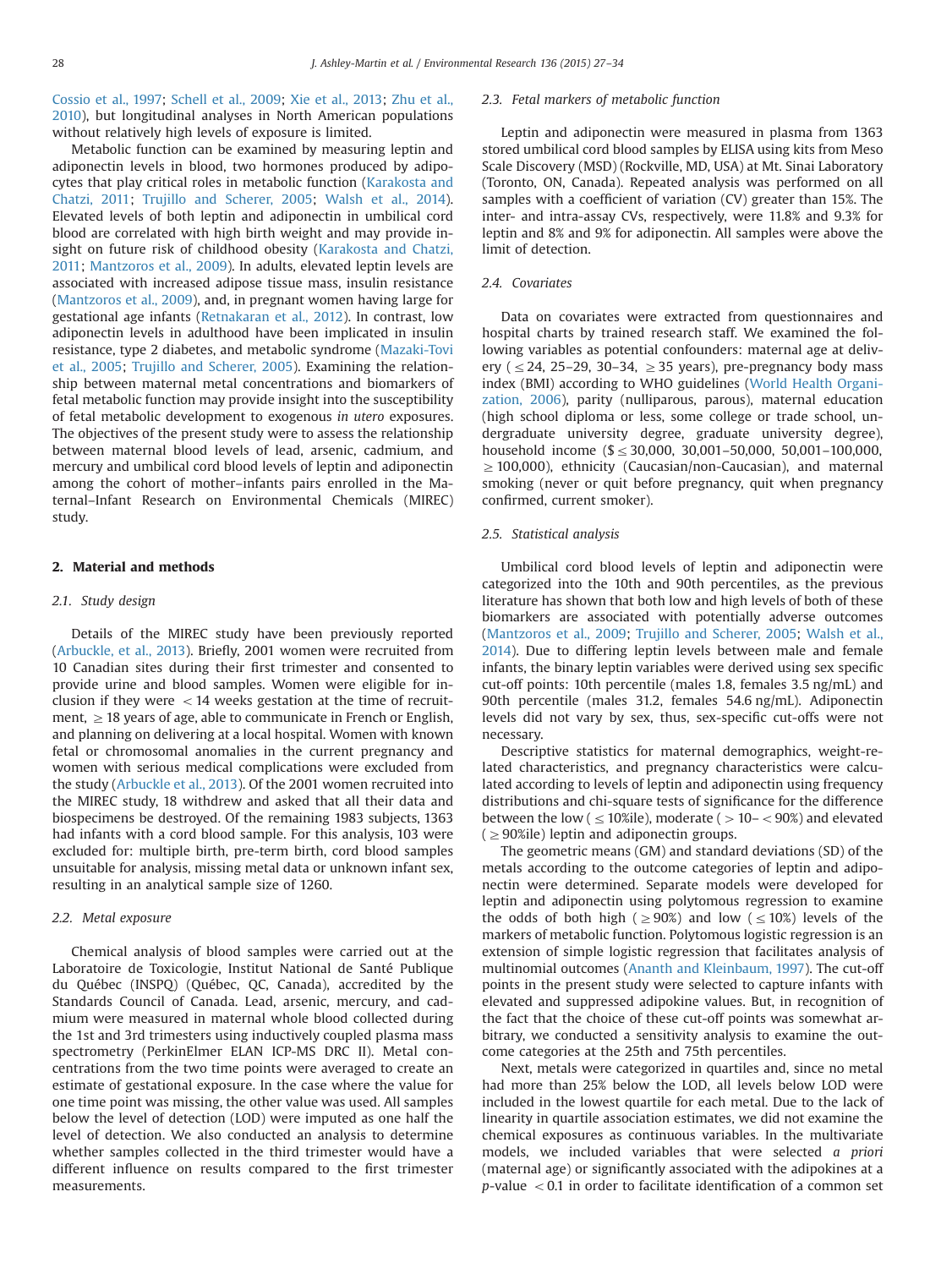[Cossio et al., 1997](#page-6-0); [Schell et al., 2009;](#page-7-0) [Xie et al., 2013](#page-7-0); [Zhu et al.,](#page-7-0) [2010\)](#page-7-0), but longitudinal analyses in North American populations without relatively high levels of exposure is limited.

Metabolic function can be examined by measuring leptin and adiponectin levels in blood, two hormones produced by adipocytes that play critical roles in metabolic function [\(Karakosta and](#page-6-0) [Chatzi, 2011](#page-6-0); [Trujillo and Scherer, 2005;](#page-7-0) [Walsh et al., 2014\)](#page-7-0). Elevated levels of both leptin and adiponectin in umbilical cord blood are correlated with high birth weight and may provide insight on future risk of childhood obesity [\(Karakosta and Chatzi,](#page-6-0) [2011;](#page-6-0) [Mantzoros et al., 2009](#page-6-0)). In adults, elevated leptin levels are associated with increased adipose tissue mass, insulin resistance ([Mantzoros et al., 2009](#page-6-0)), and, in pregnant women having large for gestational age infants ([Retnakaran et al., 2012\)](#page-7-0). In contrast, low adiponectin levels in adulthood have been implicated in insulin resistance, type 2 diabetes, and metabolic syndrome [\(Mazaki-Tovi](#page-6-0) [et al., 2005](#page-6-0); [Trujillo and Scherer, 2005](#page-7-0)). Examining the relationship between maternal metal concentrations and biomarkers of fetal metabolic function may provide insight into the susceptibility of fetal metabolic development to exogenous in utero exposures. The objectives of the present study were to assess the relationship between maternal blood levels of lead, arsenic, cadmium, and mercury and umbilical cord blood levels of leptin and adiponectin among the cohort of mother–infants pairs enrolled in the Maternal–Infant Research on Environmental Chemicals (MIREC) study.

# 2. Material and methods

### 2.1. Study design

Details of the MIREC study have been previously reported ([Arbuckle, et al., 2013](#page-6-0)). Briefly, 2001 women were recruited from 10 Canadian sites during their first trimester and consented to provide urine and blood samples. Women were eligible for inclusion if they were  $<$  14 weeks gestation at the time of recruitment,  $\geq$  18 years of age, able to communicate in French or English, and planning on delivering at a local hospital. Women with known fetal or chromosomal anomalies in the current pregnancy and women with serious medical complications were excluded from the study [\(Arbuckle et al., 2013\)](#page-6-0). Of the 2001 women recruited into the MIREC study, 18 withdrew and asked that all their data and biospecimens be destroyed. Of the remaining 1983 subjects, 1363 had infants with a cord blood sample. For this analysis, 103 were excluded for: multiple birth, pre-term birth, cord blood samples unsuitable for analysis, missing metal data or unknown infant sex, resulting in an analytical sample size of 1260.

# 2.2. Metal exposure

Chemical analysis of blood samples were carried out at the Laboratoire de Toxicologie, Institut National de Santé Publique du Québec (INSPQ) (Québec, QC, Canada), accredited by the Standards Council of Canada. Lead, arsenic, mercury, and cadmium were measured in maternal whole blood collected during the 1st and 3rd trimesters using inductively coupled plasma mass spectrometry (PerkinElmer ELAN ICP-MS DRC II). Metal concentrations from the two time points were averaged to create an estimate of gestational exposure. In the case where the value for one time point was missing, the other value was used. All samples below the level of detection (LOD) were imputed as one half the level of detection. We also conducted an analysis to determine whether samples collected in the third trimester would have a different influence on results compared to the first trimester measurements.

#### 2.3. Fetal markers of metabolic function

Leptin and adiponectin were measured in plasma from 1363 stored umbilical cord blood samples by ELISA using kits from Meso Scale Discovery (MSD) (Rockville, MD, USA) at Mt. Sinai Laboratory (Toronto, ON, Canada). Repeated analysis was performed on all samples with a coefficient of variation (CV) greater than 15%. The inter- and intra-assay CVs, respectively, were 11.8% and 9.3% for leptin and 8% and 9% for adiponectin. All samples were above the limit of detection.

# 2.4. Covariates

Data on covariates were extracted from questionnaires and hospital charts by trained research staff. We examined the following variables as potential confounders: maternal age at delivery ( $\leq$  24, 25–29, 30–34,  $\geq$  35 years), pre-pregnancy body mass index (BMI) according to WHO guidelines [\(World Health Organi](#page-7-0)[zation, 2006](#page-7-0)), parity (nulliparous, parous), maternal education (high school diploma or less, some college or trade school, undergraduate university degree, graduate university degree), household income ( $\frac{2}{3} \le 30,000$ , 30,001–50,000, 50,001–100,000,  $\geq$  100,000), ethnicity (Caucasian/non-Caucasian), and maternal smoking (never or quit before pregnancy, quit when pregnancy confirmed, current smoker).

#### 2.5. Statistical analysis

Umbilical cord blood levels of leptin and adiponectin were categorized into the 10th and 90th percentiles, as the previous literature has shown that both low and high levels of both of these biomarkers are associated with potentially adverse outcomes ([Mantzoros et al., 2009;](#page-6-0) [Trujillo and Scherer, 2005;](#page-7-0) [Walsh et al.,](#page-7-0) [2014\)](#page-7-0). Due to differing leptin levels between male and female infants, the binary leptin variables were derived using sex specific cut-off points: 10th percentile (males 1.8, females 3.5 ng/mL) and 90th percentile (males 31.2, females 54.6 ng/mL). Adiponectin levels did not vary by sex, thus, sex-specific cut-offs were not necessary.

Descriptive statistics for maternal demographics, weight-related characteristics, and pregnancy characteristics were calculated according to levels of leptin and adiponectin using frequency distributions and chi-square tests of significance for the difference between the low ( $\leq$  10%ile), moderate ( $>$  10– $<$  90%) and elevated  $($   $\geq$  90%ile) leptin and adiponectin groups.

The geometric means (GM) and standard deviations (SD) of the metals according to the outcome categories of leptin and adiponectin were determined. Separate models were developed for leptin and adiponectin using polytomous regression to examine the odds of both high ( $\geq$ 90%) and low ( $\leq$ 10%) levels of the markers of metabolic function. Polytomous logistic regression is an extension of simple logistic regression that facilitates analysis of multinomial outcomes [\(Ananth and Kleinbaum, 1997\)](#page-6-0). The cut-off points in the present study were selected to capture infants with elevated and suppressed adipokine values. But, in recognition of the fact that the choice of these cut-off points was somewhat arbitrary, we conducted a sensitivity analysis to examine the outcome categories at the 25th and 75th percentiles.

Next, metals were categorized in quartiles and, since no metal had more than 25% below the LOD, all levels below LOD were included in the lowest quartile for each metal. Due to the lack of linearity in quartile association estimates, we did not examine the chemical exposures as continuous variables. In the multivariate models, we included variables that were selected a priori (maternal age) or significantly associated with the adipokines at a  $p$ -value  $<$  0.1 in order to facilitate identification of a common set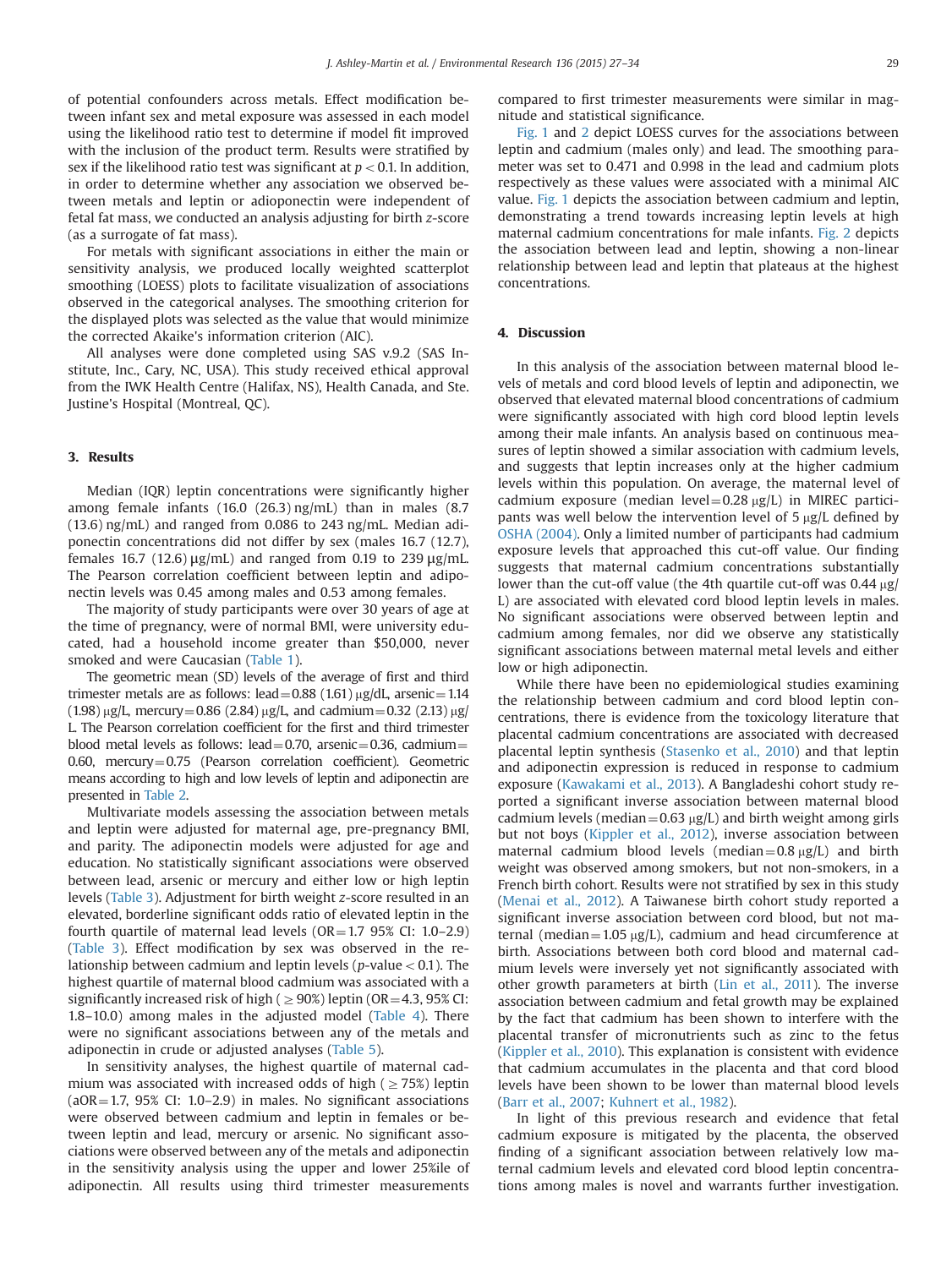of potential confounders across metals. Effect modification between infant sex and metal exposure was assessed in each model using the likelihood ratio test to determine if model fit improved with the inclusion of the product term. Results were stratified by sex if the likelihood ratio test was significant at  $p < 0.1$ . In addition, in order to determine whether any association we observed between metals and leptin or adioponectin were independent of fetal fat mass, we conducted an analysis adjusting for birth z-score (as a surrogate of fat mass).

For metals with significant associations in either the main or sensitivity analysis, we produced locally weighted scatterplot smoothing (LOESS) plots to facilitate visualization of associations observed in the categorical analyses. The smoothing criterion for the displayed plots was selected as the value that would minimize the corrected Akaike's information criterion (AIC).

All analyses were done completed using SAS v.9.2 (SAS Institute, Inc., Cary, NC, USA). This study received ethical approval from the IWK Health Centre (Halifax, NS), Health Canada, and Ste. Justine's Hospital (Montreal, QC).

# 3. Results

Median (IQR) leptin concentrations were significantly higher among female infants (16.0 (26.3) ng/mL) than in males (8.7 (13.6) ng/mL) and ranged from 0.086 to 243 ng/mL. Median adiponectin concentrations did not differ by sex (males 16.7 (12.7), females 16.7 (12.6)  $\mu$ g/mL) and ranged from 0.19 to 239  $\mu$ g/mL. The Pearson correlation coefficient between leptin and adiponectin levels was 0.45 among males and 0.53 among females.

The majority of study participants were over 30 years of age at the time of pregnancy, were of normal BMI, were university educated, had a household income greater than \$50,000, never smoked and were Caucasian ([Table 1](#page-3-0)).

The geometric mean (SD) levels of the average of first and third trimester metals are as follows: lead =  $0.88$  (1.61)  $\mu$ g/dL, arsenic = 1.14  $(1.98) \,\mu g/L$ , mercury = 0.86 (2.84)  $\mu g/L$ , and cadmium = 0.32 (2.13)  $\mu g/L$ L. The Pearson correlation coefficient for the first and third trimester blood metal levels as follows: lead = 0.70, arsenic = 0.36, cadmium = 0.60, mercury= $0.75$  (Pearson correlation coefficient). Geometric means according to high and low levels of leptin and adiponectin are presented in [Table 2](#page-3-0).

Multivariate models assessing the association between metals and leptin were adjusted for maternal age, pre-pregnancy BMI, and parity. The adiponectin models were adjusted for age and education. No statistically significant associations were observed between lead, arsenic or mercury and either low or high leptin levels [\(Table 3](#page-4-0)). Adjustment for birth weight z-score resulted in an elevated, borderline significant odds ratio of elevated leptin in the fourth quartile of maternal lead levels ( $OR = 1.7$  95% CI: 1.0–2.9) ([Table 3\)](#page-4-0). Effect modification by sex was observed in the relationship between cadmium and leptin levels (*p*-value  $<$  0.1). The highest quartile of maternal blood cadmium was associated with a significantly increased risk of high ( $\geq$  90%) leptin (OR = 4.3, 95% CI: 1.8–10.0) among males in the adjusted model ([Table 4\)](#page-4-0). There were no significant associations between any of the metals and adiponectin in crude or adjusted analyses [\(Table 5](#page-5-0)).

In sensitivity analyses, the highest quartile of maternal cadmium was associated with increased odds of high ( $\geq$  75%) leptin  $(aOR=1.7, 95\% \text{ CI: } 1.0-2.9)$  in males. No significant associations were observed between cadmium and leptin in females or between leptin and lead, mercury or arsenic. No significant associations were observed between any of the metals and adiponectin in the sensitivity analysis using the upper and lower 25%ile of adiponectin. All results using third trimester measurements

compared to first trimester measurements were similar in magnitude and statistical significance.

[Fig. 1](#page-5-0) and [2](#page-5-0) depict LOESS curves for the associations between leptin and cadmium (males only) and lead. The smoothing parameter was set to 0.471 and 0.998 in the lead and cadmium plots respectively as these values were associated with a minimal AIC value. [Fig. 1](#page-5-0) depicts the association between cadmium and leptin, demonstrating a trend towards increasing leptin levels at high maternal cadmium concentrations for male infants. [Fig. 2](#page-5-0) depicts the association between lead and leptin, showing a non-linear relationship between lead and leptin that plateaus at the highest concentrations.

#### 4. Discussion

In this analysis of the association between maternal blood levels of metals and cord blood levels of leptin and adiponectin, we observed that elevated maternal blood concentrations of cadmium were significantly associated with high cord blood leptin levels among their male infants. An analysis based on continuous measures of leptin showed a similar association with cadmium levels, and suggests that leptin increases only at the higher cadmium levels within this population. On average, the maternal level of cadmium exposure (median level= $0.28 \mu g/L$ ) in MIREC participants was well below the intervention level of  $5 \mu g/L$  defined by [OSHA \(2004\)](#page-7-0). Only a limited number of participants had cadmium exposure levels that approached this cut-off value. Our finding suggests that maternal cadmium concentrations substantially lower than the cut-off value (the 4th quartile cut-off was  $0.44 \mu$ g/ L) are associated with elevated cord blood leptin levels in males. No significant associations were observed between leptin and cadmium among females, nor did we observe any statistically significant associations between maternal metal levels and either low or high adiponectin.

While there have been no epidemiological studies examining the relationship between cadmium and cord blood leptin concentrations, there is evidence from the toxicology literature that placental cadmium concentrations are associated with decreased placental leptin synthesis ([Stasenko et al., 2010](#page-7-0)) and that leptin and adiponectin expression is reduced in response to cadmium exposure ([Kawakami et al., 2013\)](#page-6-0). A Bangladeshi cohort study reported a significant inverse association between maternal blood cadmium levels (median =  $0.63 \mu g/L$ ) and birth weight among girls but not boys ([Kippler et al., 2012](#page-6-0)), inverse association between maternal cadmium blood levels (median =  $0.8 \mu g/L$ ) and birth weight was observed among smokers, but not non-smokers, in a French birth cohort. Results were not stratified by sex in this study ([Menai et al., 2012\)](#page-7-0). A Taiwanese birth cohort study reported a significant inverse association between cord blood, but not maternal (median =  $1.05 \mu g/L$ ), cadmium and head circumference at birth. Associations between both cord blood and maternal cadmium levels were inversely yet not significantly associated with other growth parameters at birth [\(Lin et al., 2011\)](#page-6-0). The inverse association between cadmium and fetal growth may be explained by the fact that cadmium has been shown to interfere with the placental transfer of micronutrients such as zinc to the fetus ([Kippler et al., 2010\)](#page-6-0). This explanation is consistent with evidence that cadmium accumulates in the placenta and that cord blood levels have been shown to be lower than maternal blood levels ([Barr et al., 2007;](#page-6-0) [Kuhnert et al., 1982](#page-6-0)).

In light of this previous research and evidence that fetal cadmium exposure is mitigated by the placenta, the observed finding of a significant association between relatively low maternal cadmium levels and elevated cord blood leptin concentrations among males is novel and warrants further investigation.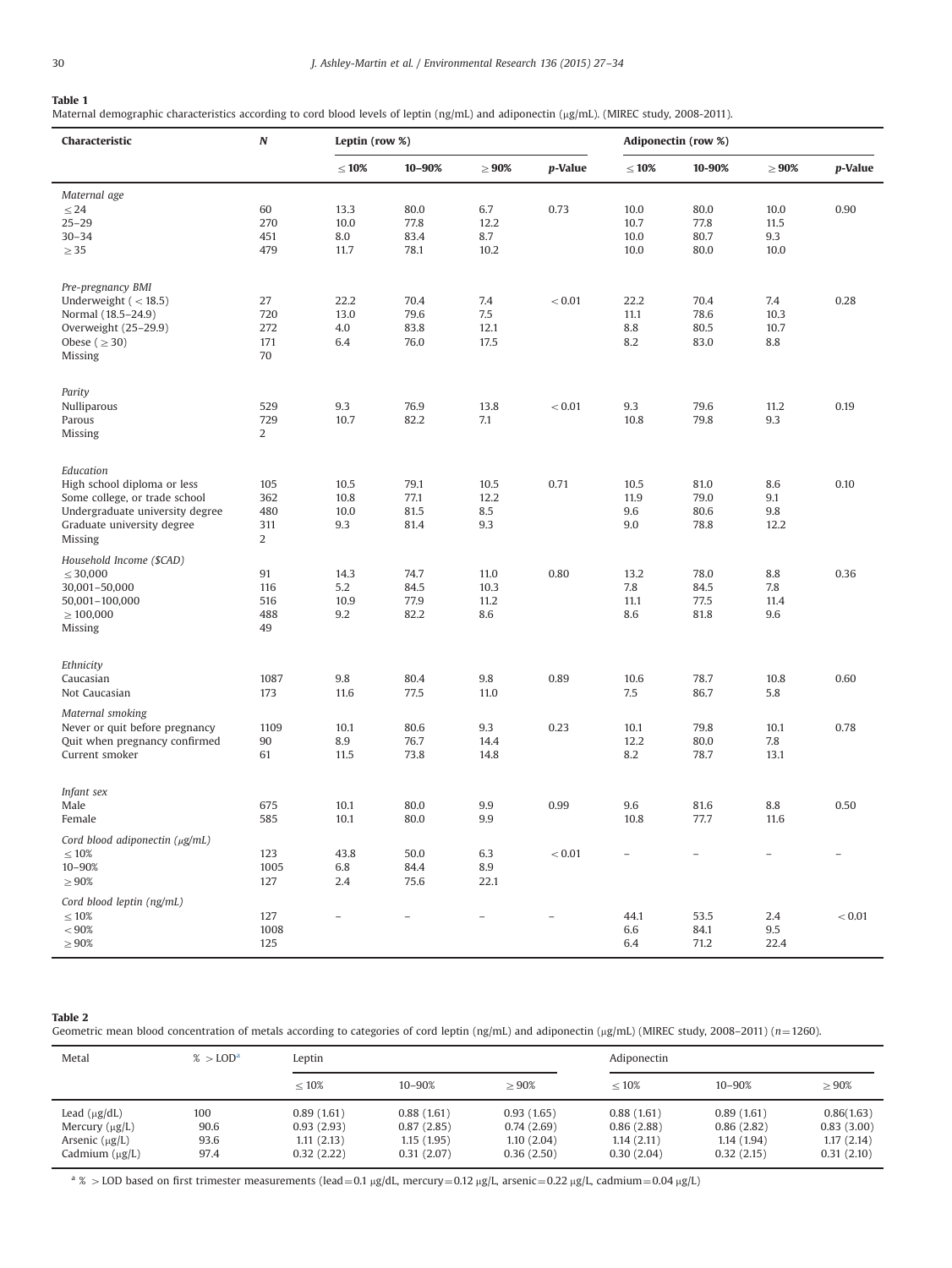# <span id="page-3-0"></span>Table 1

Maternal demographic characteristics according to cord blood levels of leptin (ng/mL) and adiponectin (mg/mL). (MIREC study, 2008-2011).

| Characteristic                                                                                                                                        | $\boldsymbol{N}$              | Leptin (row %)              |                              |                             | Adiponectin (row %) |                              |                              |                             |         |
|-------------------------------------------------------------------------------------------------------------------------------------------------------|-------------------------------|-----------------------------|------------------------------|-----------------------------|---------------------|------------------------------|------------------------------|-----------------------------|---------|
|                                                                                                                                                       |                               | $\leq 10\%$                 | 10-90%                       | $\geq 90\%$                 | <i>p</i> -Value     | $\leq 10\%$                  | 10-90%                       | $\geq 90\%$                 | p-Value |
| Maternal age<br>$\leq$ 24<br>$25 - 29$<br>$30 - 34$<br>$\geq$ 35                                                                                      | 60<br>270<br>451<br>479       | 13.3<br>10.0<br>8.0<br>11.7 | 80.0<br>77.8<br>83.4<br>78.1 | 6.7<br>12.2<br>8.7<br>10.2  | 0.73                | 10.0<br>10.7<br>10.0<br>10.0 | 80.0<br>77.8<br>80.7<br>80.0 | 10.0<br>11.5<br>9.3<br>10.0 | 0.90    |
| Pre-pregnancy BMI<br>Underweight $($ < 18.5)<br>Normal (18.5-24.9)<br>Overweight (25-29.9)<br>Obese ( $\geq$ 30)<br>Missing                           | 27<br>720<br>272<br>171<br>70 | 22.2<br>13.0<br>4.0<br>6.4  | 70.4<br>79.6<br>83.8<br>76.0 | 7.4<br>7.5<br>12.1<br>17.5  | < 0.01              | 22.2<br>11.1<br>8.8<br>8.2   | 70.4<br>78.6<br>80.5<br>83.0 | 7.4<br>10.3<br>10.7<br>8.8  | 0.28    |
| Parity<br>Nulliparous<br>Parous<br>Missing                                                                                                            | 529<br>729<br>2               | 9.3<br>10.7                 | 76.9<br>82.2                 | 13.8<br>7.1                 | < 0.01              | 9.3<br>10.8                  | 79.6<br>79.8                 | 11.2<br>9.3                 | 0.19    |
| Education<br>High school diploma or less<br>Some college, or trade school<br>Undergraduate university degree<br>Graduate university degree<br>Missing | 105<br>362<br>480<br>311<br>2 | 10.5<br>10.8<br>10.0<br>9.3 | 79.1<br>77.1<br>81.5<br>81.4 | 10.5<br>12.2<br>8.5<br>9.3  | 0.71                | 10.5<br>11.9<br>9.6<br>9.0   | 81.0<br>79.0<br>80.6<br>78.8 | 8.6<br>9.1<br>9.8<br>12.2   | 0.10    |
| Household Income (\$CAD)<br>$\leq 30,000$<br>30,001-50,000<br>50,001-100,000<br>$\geq 100,000$<br>Missing                                             | 91<br>116<br>516<br>488<br>49 | 14.3<br>5.2<br>10.9<br>9.2  | 74.7<br>84.5<br>77.9<br>82.2 | 11.0<br>10.3<br>11.2<br>8.6 | 0.80                | 13.2<br>7.8<br>11.1<br>8.6   | 78.0<br>84.5<br>77.5<br>81.8 | 8.8<br>7.8<br>11.4<br>9.6   | 0.36    |
| Ethnicity<br>Caucasian<br>Not Caucasian                                                                                                               | 1087<br>173                   | 9.8<br>11.6                 | 80.4<br>77.5                 | 9.8<br>11.0                 | 0.89                | 10.6<br>7.5                  | 78.7<br>86.7                 | 10.8<br>5.8                 | 0.60    |
| Maternal smoking<br>Never or quit before pregnancy<br>Quit when pregnancy confirmed<br>Current smoker                                                 | 1109<br>90<br>61              | 10.1<br>8.9<br>11.5         | 80.6<br>76.7<br>73.8         | 9.3<br>14.4<br>14.8         | 0.23                | 10.1<br>12.2<br>8.2          | 79.8<br>80.0<br>78.7         | 10.1<br>7.8<br>13.1         | 0.78    |
| Infant sex<br>Male<br>Female                                                                                                                          | 675<br>585                    | 10.1<br>10.1                | 80.0<br>80.0                 | 9.9<br>9.9                  | 0.99                | 9.6<br>10.8                  | 81.6<br>77.7                 | 8.8<br>11.6                 | 0.50    |
| Cord blood adiponectin (µg/mL)<br>$\leq 10\%$<br>10-90%<br>$\geq 90\%$                                                                                | 123<br>1005<br>127            | 43.8<br>$6.8\,$<br>2.4      | 50.0<br>84.4<br>75.6         | 6.3<br>8.9<br>22.1          | $< 0.01\,$          |                              |                              |                             |         |
| Cord blood leptin (ng/mL)<br>$\leq 10\%$<br>$<90\%$<br>$\geq 90\%$                                                                                    | 127<br>1008<br>125            |                             |                              |                             |                     | 44.1<br>6.6<br>6.4           | 53.5<br>84.1<br>71.2         | 2.4<br>9.5<br>22.4          | < 0.01  |

# Table 2

Geometric mean blood concentration of metals according to categories of cord leptin (ng/mL) and adiponectin ( $\mu$ g/mL) (MIREC study, 2008–2011) (n=1260).

| Metal                                                                                  | $% >$ LOD <sup>a</sup>      | Leptin                                               |                                                      |                                                      | Adiponectin                                          |                                                      |                                                      |
|----------------------------------------------------------------------------------------|-----------------------------|------------------------------------------------------|------------------------------------------------------|------------------------------------------------------|------------------------------------------------------|------------------------------------------------------|------------------------------------------------------|
|                                                                                        |                             | $< 10\%$                                             | 10-90%                                               | >90%                                                 | < 10%                                                | 10-90%                                               | > 90%                                                |
| Lead $(\mu g/dL)$<br>Mercury $(\mu g/L)$<br>Arsenic $(\mu g/L)$<br>Cadmium $(\mu g/L)$ | 100<br>90.6<br>93.6<br>97.4 | 0.89(1.61)<br>0.93(2.93)<br>1.11(2.13)<br>0.32(2.22) | 0.88(1.61)<br>0.87(2.85)<br>1.15(1.95)<br>0.31(2.07) | 0.93(1.65)<br>0.74(2.69)<br>1.10(2.04)<br>0.36(2.50) | 0.88(1.61)<br>0.86(2.88)<br>1.14(2.11)<br>0.30(2.04) | 0.89(1.61)<br>0.86(2.82)<br>1.14(1.94)<br>0.32(2.15) | 0.86(1.63)<br>0.83(3.00)<br>1.17(2.14)<br>0.31(2.10) |

 $a \approx$  > LOD based on first trimester measurements (lead = 0.1 µg/dL, mercury = 0.12 µg/L, arsenic = 0.22 µg/L, cadmium = 0.04 µg/L)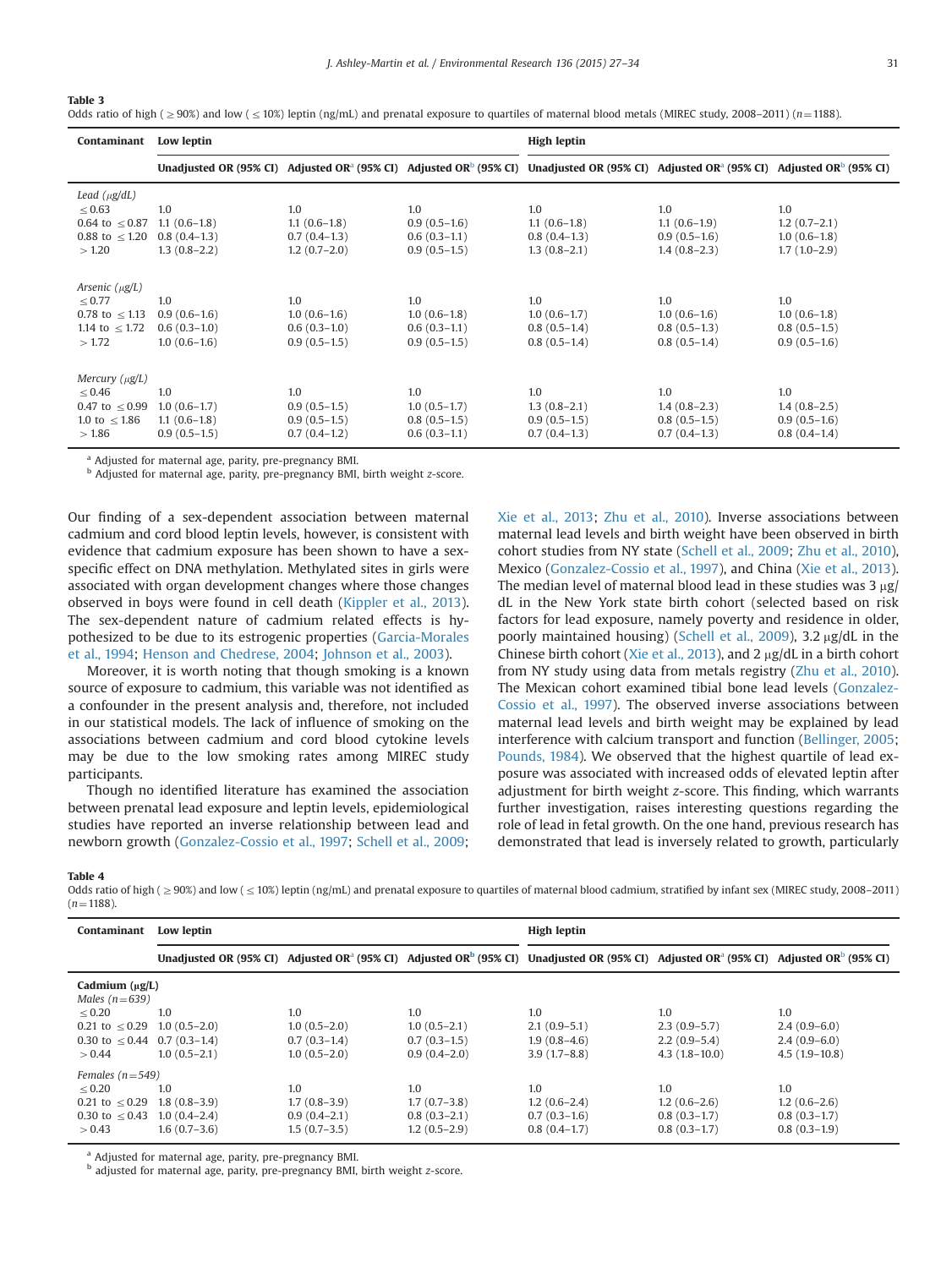#### <span id="page-4-0"></span>Table 3

Odds ratio of high ( $\geq$  90%) and low ( $\leq$  10%) leptin (ng/mL) and prenatal exposure to quartiles of maternal blood metals (MIREC study, 2008–2011) (n=1188).

| Contaminant                                                                               | Low leptin                                                |                                                           |                                                           | <b>High leptin</b>                                                                                                                                                                    |                                                           |                                                           |
|-------------------------------------------------------------------------------------------|-----------------------------------------------------------|-----------------------------------------------------------|-----------------------------------------------------------|---------------------------------------------------------------------------------------------------------------------------------------------------------------------------------------|-----------------------------------------------------------|-----------------------------------------------------------|
|                                                                                           |                                                           |                                                           |                                                           | Unadjusted OR (95% CI) Adjusted OR <sup>3</sup> (95% CI) Adjusted OR <sup>3</sup> (95% CI) Unadjusted OR (95% CI) Adjusted OR <sup>3</sup> (95% CI) Adjusted OR <sup>3</sup> (95% CI) |                                                           |                                                           |
| Lead $(\mu g/dL)$<br>$\leq 0.63$<br>0.64 to $\leq$ 0.87<br>0.88 to $\leq$ 1.20<br>>1.20   | 1.0<br>$1.1(0.6-1.8)$<br>$0.8(0.4-1.3)$<br>$1.3(0.8-2.2)$ | 1.0<br>$1.1(0.6-1.8)$<br>$0.7(0.4-1.3)$<br>$1.2(0.7-2.0)$ | 1.0<br>$0.9(0.5-1.6)$<br>$0.6(0.3-1.1)$<br>$0.9(0.5-1.5)$ | 1.0<br>$1.1(0.6-1.8)$<br>$0.8(0.4-1.3)$<br>$1.3(0.8-2.1)$                                                                                                                             | 1.0<br>$1.1(0.6-1.9)$<br>$0.9(0.5-1.6)$<br>$1.4(0.8-2.3)$ | 1.0<br>$1.2(0.7-2.1)$<br>$1.0(0.6-1.8)$<br>$1.7(1.0-2.9)$ |
| Arsenic $(\mu g/L)$<br>$\leq 0.77$<br>0.78 to $\leq$ 1.13<br>1.14 to $\leq$ 1.72<br>>1.72 | 1.0<br>$0.9(0.6-1.6)$<br>$0.6(0.3-1.0)$<br>$1.0(0.6-1.6)$ | 1.0<br>$1.0(0.6-1.6)$<br>$0.6(0.3-1.0)$<br>$0.9(0.5-1.5)$ | 1.0<br>$1.0(0.6-1.8)$<br>$0.6(0.3-1.1)$<br>$0.9(0.5-1.5)$ | 1.0<br>$1.0(0.6-1.7)$<br>$0.8(0.5-1.4)$<br>$0.8(0.5-1.4)$                                                                                                                             | 1.0<br>$1.0(0.6-1.6)$<br>$0.8(0.5-1.3)$<br>$0.8(0.5-1.4)$ | 1.0<br>$1.0(0.6-1.8)$<br>$0.8(0.5-1.5)$<br>$0.9(0.5-1.6)$ |
| Mercury $(\mu g/L)$<br>$\leq 0.46$<br>0.47 to $\leq$ 0.99<br>1.0 to $\leq$ 1.86<br>>1.86  | 1.0<br>$1.0(0.6-1.7)$<br>$1.1(0.6-1.8)$<br>$0.9(0.5-1.5)$ | 1.0<br>$0.9(0.5-1.5)$<br>$0.9(0.5-1.5)$<br>$0.7(0.4-1.2)$ | 1.0<br>$1.0(0.5-1.7)$<br>$0.8(0.5-1.5)$<br>$0.6(0.3-1.1)$ | 1.0<br>$1.3(0.8-2.1)$<br>$0.9(0.5-1.5)$<br>$0.7(0.4-1.3)$                                                                                                                             | 1.0<br>$1.4(0.8-2.3)$<br>$0.8(0.5-1.5)$<br>$0.7(0.4-1.3)$ | 1.0<br>$1.4(0.8-2.5)$<br>$0.9(0.5-1.6)$<br>$0.8(0.4-1.4)$ |

<sup>a</sup> Adjusted for maternal age, parity, pre-pregnancy BMI.

<sup>b</sup> Adjusted for maternal age, parity, pre-pregnancy BMI, birth weight z-score.

Our finding of a sex-dependent association between maternal cadmium and cord blood leptin levels, however, is consistent with evidence that cadmium exposure has been shown to have a sexspecific effect on DNA methylation. Methylated sites in girls were associated with organ development changes where those changes observed in boys were found in cell death ([Kippler et al., 2013\)](#page-6-0). The sex-dependent nature of cadmium related effects is hypothesized to be due to its estrogenic properties [\(Garcia-Morales](#page-6-0) [et al., 1994;](#page-6-0) [Henson and Chedrese, 2004;](#page-6-0) [Johnson et al., 2003](#page-6-0)).

Moreover, it is worth noting that though smoking is a known source of exposure to cadmium, this variable was not identified as a confounder in the present analysis and, therefore, not included in our statistical models. The lack of influence of smoking on the associations between cadmium and cord blood cytokine levels may be due to the low smoking rates among MIREC study participants.

Though no identified literature has examined the association between prenatal lead exposure and leptin levels, epidemiological studies have reported an inverse relationship between lead and newborn growth [\(Gonzalez-Cossio et al., 1997;](#page-6-0) [Schell et al., 2009;](#page-7-0) [Xie et al., 2013](#page-7-0); [Zhu et al., 2010](#page-7-0)). Inverse associations between maternal lead levels and birth weight have been observed in birth cohort studies from NY state ([Schell et al., 2009;](#page-7-0) [Zhu et al., 2010\)](#page-7-0), Mexico ([Gonzalez-Cossio et al., 1997\)](#page-6-0), and China [\(Xie et al., 2013\)](#page-7-0). The median level of maternal blood lead in these studies was  $3 \mu g$ / dL in the New York state birth cohort (selected based on risk factors for lead exposure, namely poverty and residence in older, poorly maintained housing) ([Schell et al., 2009\)](#page-7-0), 3.2  $\mu$ g/dL in the Chinese birth cohort ([Xie et al., 2013](#page-7-0)), and 2  $\mu$ g/dL in a birth cohort from NY study using data from metals registry [\(Zhu et al., 2010\)](#page-7-0). The Mexican cohort examined tibial bone lead levels ([Gonzalez-](#page-6-0)[Cossio et al., 1997](#page-6-0)). The observed inverse associations between maternal lead levels and birth weight may be explained by lead interference with calcium transport and function ([Bellinger, 2005;](#page-6-0) [Pounds, 1984](#page-7-0)). We observed that the highest quartile of lead exposure was associated with increased odds of elevated leptin after adjustment for birth weight z-score. This finding, which warrants further investigation, raises interesting questions regarding the role of lead in fetal growth. On the one hand, previous research has demonstrated that lead is inversely related to growth, particularly

Table 4

Odds ratio of high ( $\geq$  90%) and low ( $\leq$  10%) leptin (ng/mL) and prenatal exposure to quartiles of maternal blood cadmium, stratified by infant sex (MIREC study, 2008-2011)  $(n=1188)$ .

| Contaminant                            | Low leptin     |                |                | <b>High leptin</b>                                                                                                                                                                    |                 |                 |  |
|----------------------------------------|----------------|----------------|----------------|---------------------------------------------------------------------------------------------------------------------------------------------------------------------------------------|-----------------|-----------------|--|
|                                        |                |                |                | Unadjusted OR (95% CI) Adjusted OR <sup>3</sup> (95% CI) Adjusted OR <sup>b</sup> (95% CI) Unadjusted OR (95% CI) Adjusted OR <sup>3</sup> (95% CI) Adjusted OR <sup>b</sup> (95% CI) |                 |                 |  |
| Cadmium $(\mu g/L)$<br>Males $(n=639)$ |                |                |                |                                                                                                                                                                                       |                 |                 |  |
| $\leq 0.20$                            | 1.0            | 1.0            | 1.0            | 1.0                                                                                                                                                                                   | 1.0             | 1.0             |  |
| 0.21 to $\leq$ 0.29                    | $1.0(0.5-2.0)$ | $1.0(0.5-2.0)$ | $1.0(0.5-2.1)$ | $2.1(0.9-5.1)$                                                                                                                                                                        | $2.3(0.9-5.7)$  | $2.4(0.9-6.0)$  |  |
| 0.30 to $\leq$ 0.44 0.7 (0.3-1.4)      |                | $0.7(0.3-1.4)$ | $0.7(0.3-1.5)$ | $1.9(0.8-4.6)$                                                                                                                                                                        | $2.2(0.9-5.4)$  | $2.4(0.9-6.0)$  |  |
| > 0.44                                 | $1.0(0.5-2.1)$ | $1.0(0.5-2.0)$ | $0.9(0.4-2.0)$ | $3.9(1.7-8.8)$                                                                                                                                                                        | $4.3(1.8-10.0)$ | $4.5(1.9-10.8)$ |  |
| Females $(n=549)$                      |                |                |                |                                                                                                                                                                                       |                 |                 |  |
| < 0.20                                 | 1.0            | 1.0            | 1.0            | 1.0                                                                                                                                                                                   | 1.0             | 1.0             |  |
| 0.21 to $\leq$ 0.29                    | $1.8(0.8-3.9)$ | $1.7(0.8-3.9)$ | $1.7(0.7-3.8)$ | $1.2(0.6-2.4)$                                                                                                                                                                        | $1.2(0.6-2.6)$  | $1.2(0.6-2.6)$  |  |
| 0.30 to $< 0.43$                       | $1.0(0.4-2.4)$ | $0.9(0.4-2.1)$ | $0.8(0.3-2.1)$ | $0.7(0.3-1.6)$                                                                                                                                                                        | $0.8(0.3-1.7)$  | $0.8(0.3-1.7)$  |  |
| > 0.43                                 | $1.6(0.7-3.6)$ | $1.5(0.7-3.5)$ | $1.2(0.5-2.9)$ | $0.8(0.4-1.7)$                                                                                                                                                                        | $0.8(0.3-1.7)$  | $0.8(0.3-1.9)$  |  |

a Adjusted for maternal age, parity, pre-pregnancy BMI.

<sup>b</sup> adjusted for maternal age, parity, pre-pregnancy BMI, birth weight z-score.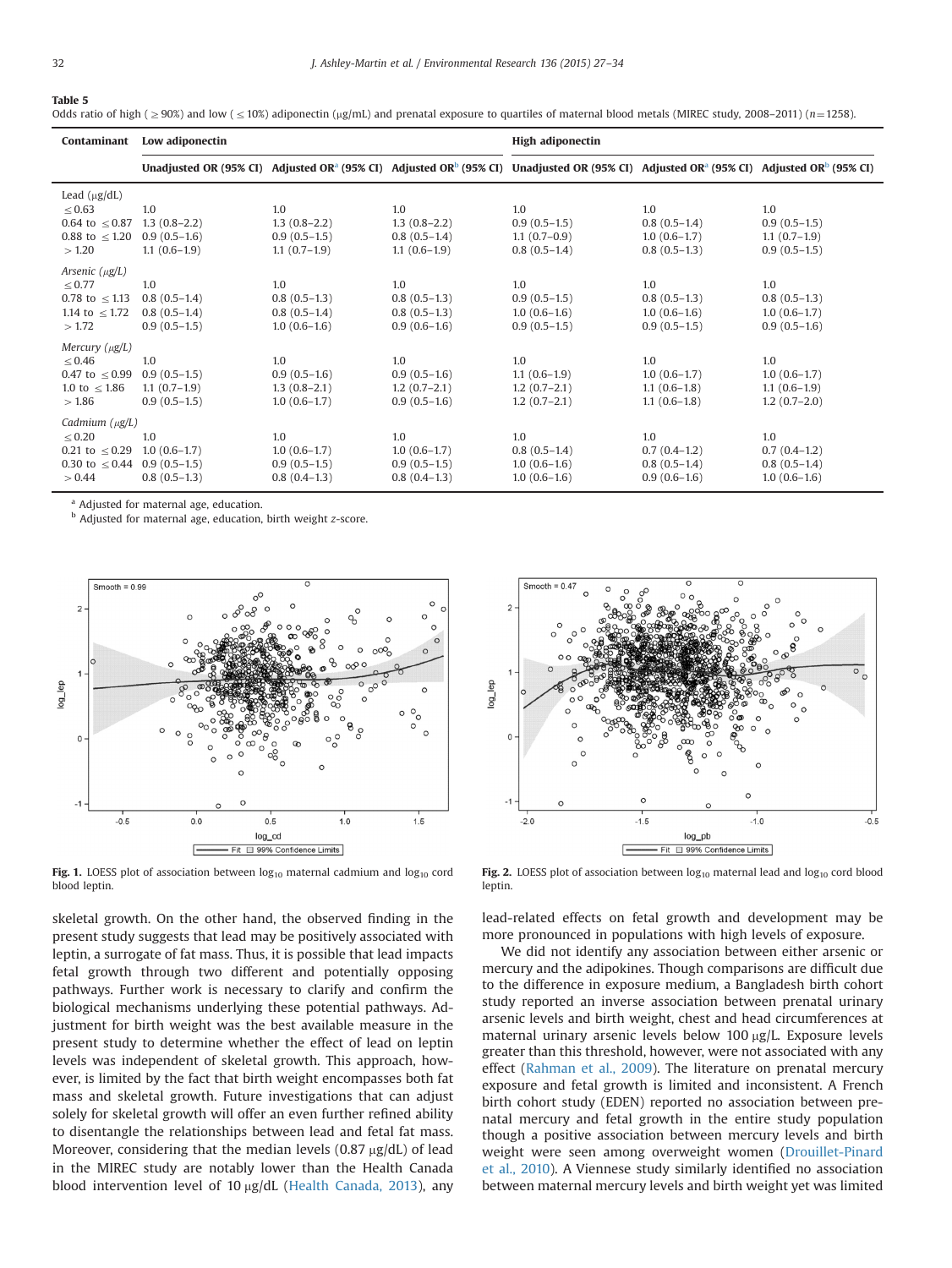#### <span id="page-5-0"></span>Table 5

Odds ratio of high ( $\geq$  90%) and low ( $\leq$  10%) adiponectin (µg/mL) and prenatal exposure to quartiles of maternal blood metals (MIREC study, 2008–2011) (n=1258).

| Contaminant                                                                                              | Low adiponectin                                                             |                                                                             |                                                                             | <b>High adiponectin</b>                                                                                                                                                               |                                                                             |                                                                             |
|----------------------------------------------------------------------------------------------------------|-----------------------------------------------------------------------------|-----------------------------------------------------------------------------|-----------------------------------------------------------------------------|---------------------------------------------------------------------------------------------------------------------------------------------------------------------------------------|-----------------------------------------------------------------------------|-----------------------------------------------------------------------------|
|                                                                                                          |                                                                             |                                                                             |                                                                             | Unadjusted OR (95% CI) Adjusted OR <sup>3</sup> (95% CI) Adjusted OR <sup>3</sup> (95% CI) Unadjusted OR (95% CI) Adjusted OR <sup>3</sup> (95% CI) Adjusted OR <sup>3</sup> (95% CI) |                                                                             |                                                                             |
| Lead $(\mu g/dL)$<br>$\leq 0.63$<br>$0.64$ to $\leq 0.87$ 1.3 (0.8-2.2)<br>0.88 to $\leq$ 1.20           | 1.0<br>$0.9(0.5-1.6)$                                                       | 1.0<br>$1.3(0.8-2.2)$<br>$0.9(0.5-1.5)$                                     | 1.0<br>$1.3(0.8-2.2)$<br>$0.8(0.5-1.4)$                                     | 1.0<br>$0.9(0.5-1.5)$<br>$1.1(0.7-0.9)$                                                                                                                                               | 1.0<br>$0.8(0.5-1.4)$<br>$1.0(0.6-1.7)$                                     | 1.0<br>$0.9(0.5-1.5)$<br>$1.1(0.7-1.9)$                                     |
| >1.20<br>Arsenic $(\mu g/L)$<br>$\leq 0.77$<br>0.78 to $\leq$ 1.13<br>1.14 to $\leq$ 1.72<br>>1.72       | $1.1(0.6-1.9)$<br>1.0<br>$0.8(0.5-1.4)$<br>$0.8(0.5-1.4)$<br>$0.9(0.5-1.5)$ | $1.1(0.7-1.9)$<br>1.0<br>$0.8(0.5-1.3)$<br>$0.8(0.5-1.4)$<br>$1.0(0.6-1.6)$ | $1.1(0.6-1.9)$<br>1.0<br>$0.8(0.5-1.3)$<br>$0.8(0.5-1.3)$<br>$0.9(0.6-1.6)$ | $0.8(0.5-1.4)$<br>1.0<br>$0.9(0.5-1.5)$<br>$1.0(0.6-1.6)$<br>$0.9(0.5-1.5)$                                                                                                           | $0.8(0.5-1.3)$<br>1.0<br>$0.8(0.5-1.3)$<br>$1.0(0.6-1.6)$<br>$0.9(0.5-1.5)$ | $0.9(0.5-1.5)$<br>1.0<br>$0.8(0.5-1.3)$<br>$1.0(0.6-1.7)$<br>$0.9(0.5-1.6)$ |
| Mercury $(\mu g/L)$<br>$\leq 0.46$<br>0.47 to $\leq$ 0.99<br>1.0 to $\leq$ 1.86<br>>1.86                 | 1.0<br>$0.9(0.5-1.5)$<br>$1.1(0.7-1.9)$<br>$0.9(0.5-1.5)$                   | 1.0<br>$0.9(0.5-1.6)$<br>$1.3(0.8-2.1)$<br>$1.0(0.6-1.7)$                   | 1.0<br>$0.9(0.5-1.6)$<br>$1.2(0.7-2.1)$<br>$0.9(0.5-1.6)$                   | 1.0<br>$1.1(0.6-1.9)$<br>$1.2(0.7-2.1)$<br>$1.2(0.7-2.1)$                                                                                                                             | 1.0<br>$1.0(0.6-1.7)$<br>$1.1(0.6-1.8)$<br>$1.1(0.6-1.8)$                   | 1.0<br>$1.0(0.6-1.7)$<br>$1.1(0.6-1.9)$<br>$1.2(0.7-2.0)$                   |
| Cadmium $(\mu g/L)$<br>$\leq 0.20$<br>0.21 to $\leq$ 0.29<br>0.30 to $\leq$ 0.44 0.9 (0.5-1.5)<br>> 0.44 | 1.0<br>$1.0(0.6-1.7)$<br>$0.8(0.5-1.3)$                                     | 1.0<br>$1.0(0.6-1.7)$<br>$0.9(0.5-1.5)$<br>$0.8(0.4-1.3)$                   | 1.0<br>$1.0(0.6-1.7)$<br>$0.9(0.5-1.5)$<br>$0.8(0.4-1.3)$                   | 1.0<br>$0.8(0.5-1.4)$<br>$1.0(0.6-1.6)$<br>$1.0(0.6-1.6)$                                                                                                                             | 1.0<br>$0.7(0.4-1.2)$<br>$0.8(0.5-1.4)$<br>$0.9(0.6-1.6)$                   | 1.0<br>$0.7(0.4-1.2)$<br>$0.8(0.5-1.4)$<br>$1.0(0.6-1.6)$                   |

<sup>a</sup> Adjusted for maternal age, education.

b Adjusted for maternal age, education, birth weight z-score.



Fig. 1. LOESS plot of association between  $log_{10}$  maternal cadmium and  $log_{10}$  cord blood leptin.

skeletal growth. On the other hand, the observed finding in the present study suggests that lead may be positively associated with leptin, a surrogate of fat mass. Thus, it is possible that lead impacts fetal growth through two different and potentially opposing pathways. Further work is necessary to clarify and confirm the biological mechanisms underlying these potential pathways. Adjustment for birth weight was the best available measure in the present study to determine whether the effect of lead on leptin levels was independent of skeletal growth. This approach, however, is limited by the fact that birth weight encompasses both fat mass and skeletal growth. Future investigations that can adjust solely for skeletal growth will offer an even further refined ability to disentangle the relationships between lead and fetal fat mass. Moreover, considering that the median levels (0.87  $\mu$ g/dL) of lead in the MIREC study are notably lower than the Health Canada blood intervention level of 10  $\mu$ g/dL ([Health Canada, 2013](#page-6-0)), any



Fig. 2. LOESS plot of association between  $log_{10}$  maternal lead and  $log_{10}$  cord blood leptin.

lead-related effects on fetal growth and development may be more pronounced in populations with high levels of exposure.

We did not identify any association between either arsenic or mercury and the adipokines. Though comparisons are difficult due to the difference in exposure medium, a Bangladesh birth cohort study reported an inverse association between prenatal urinary arsenic levels and birth weight, chest and head circumferences at maternal urinary arsenic levels below 100 µg/L. Exposure levels greater than this threshold, however, were not associated with any effect [\(Rahman et al., 2009](#page-7-0)). The literature on prenatal mercury exposure and fetal growth is limited and inconsistent. A French birth cohort study (EDEN) reported no association between prenatal mercury and fetal growth in the entire study population though a positive association between mercury levels and birth weight were seen among overweight women ([Drouillet-Pinard](#page-6-0) [et al., 2010](#page-6-0)). A Viennese study similarly identified no association between maternal mercury levels and birth weight yet was limited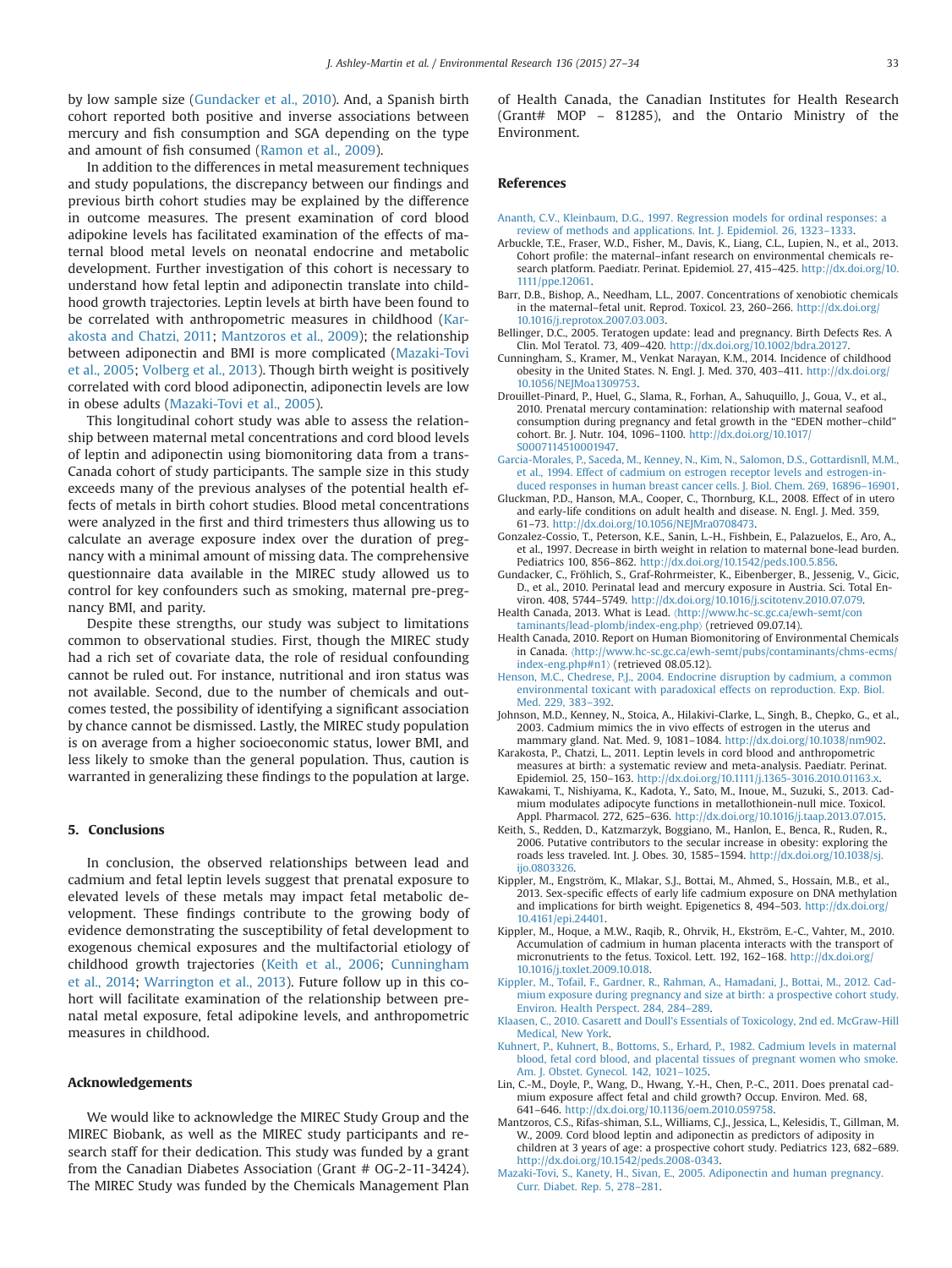<span id="page-6-0"></span>by low sample size (Gundacker et al., 2010). And, a Spanish birth cohort reported both positive and inverse associations between mercury and fish consumption and SGA depending on the type and amount of fish consumed [\(Ramon et al., 2009\)](#page-7-0).

In addition to the differences in metal measurement techniques and study populations, the discrepancy between our findings and previous birth cohort studies may be explained by the difference in outcome measures. The present examination of cord blood adipokine levels has facilitated examination of the effects of maternal blood metal levels on neonatal endocrine and metabolic development. Further investigation of this cohort is necessary to understand how fetal leptin and adiponectin translate into childhood growth trajectories. Leptin levels at birth have been found to be correlated with anthropometric measures in childhood (Karakosta and Chatzi, 2011; Mantzoros et al., 2009); the relationship between adiponectin and BMI is more complicated (Mazaki-Tovi et al., 2005; [Volberg et al., 2013](#page-7-0)). Though birth weight is positively correlated with cord blood adiponectin, adiponectin levels are low in obese adults (Mazaki-Tovi et al., 2005).

This longitudinal cohort study was able to assess the relationship between maternal metal concentrations and cord blood levels of leptin and adiponectin using biomonitoring data from a trans-Canada cohort of study participants. The sample size in this study exceeds many of the previous analyses of the potential health effects of metals in birth cohort studies. Blood metal concentrations were analyzed in the first and third trimesters thus allowing us to calculate an average exposure index over the duration of pregnancy with a minimal amount of missing data. The comprehensive questionnaire data available in the MIREC study allowed us to control for key confounders such as smoking, maternal pre-pregnancy BMI, and parity.

Despite these strengths, our study was subject to limitations common to observational studies. First, though the MIREC study had a rich set of covariate data, the role of residual confounding cannot be ruled out. For instance, nutritional and iron status was not available. Second, due to the number of chemicals and outcomes tested, the possibility of identifying a significant association by chance cannot be dismissed. Lastly, the MIREC study population is on average from a higher socioeconomic status, lower BMI, and less likely to smoke than the general population. Thus, caution is warranted in generalizing these findings to the population at large.

# 5. Conclusions

In conclusion, the observed relationships between lead and cadmium and fetal leptin levels suggest that prenatal exposure to elevated levels of these metals may impact fetal metabolic development. These findings contribute to the growing body of evidence demonstrating the susceptibility of fetal development to exogenous chemical exposures and the multifactorial etiology of childhood growth trajectories (Keith et al., 2006; Cunningham et al., 2014; [Warrington et al., 2013](#page-7-0)). Future follow up in this cohort will facilitate examination of the relationship between prenatal metal exposure, fetal adipokine levels, and anthropometric measures in childhood.

#### Acknowledgements

We would like to acknowledge the MIREC Study Group and the MIREC Biobank, as well as the MIREC study participants and research staff for their dedication. This study was funded by a grant from the Canadian Diabetes Association (Grant # OG-2-11-3424). The MIREC Study was funded by the Chemicals Management Plan

of Health Canada, the Canadian Institutes for Health Research (Grant# MOP – 81285), and the Ontario Ministry of the Environment.

#### References

- [Ananth, C.V., Kleinbaum, D.G., 1997. Regression models for ordinal responses: a](http://refhub.elsevier.com/S0013-9351(14)00388-0/sbref1) [review of methods and applications. Int. J. Epidemiol. 26, 1323](http://refhub.elsevier.com/S0013-9351(14)00388-0/sbref1)–1333.
- Arbuckle, T.E., Fraser, W.D., Fisher, M., Davis, K., Liang, C.L., Lupien, N., et al., 2013. Cohort profile: the maternal–infant research on environmental chemicals research platform. Paediatr. Perinat. Epidemiol. 27, 415–425. [http://dx.doi.org/10.](http://dx.doi.org/10.1111/ppe.12061) [1111/ppe.12061.](http://dx.doi.org/10.1111/ppe.12061)
- Barr, D.B., Bishop, A., Needham, L.L., 2007. Concentrations of xenobiotic chemicals in the maternal–fetal unit. Reprod. Toxicol. 23, 260–266. [http://dx.doi.org/](http://dx.doi.org/10.1016/j.reprotox.2007.03.003) [10.1016/j.reprotox.2007.03.003](http://dx.doi.org/10.1016/j.reprotox.2007.03.003).
- Bellinger, D.C., 2005. Teratogen update: lead and pregnancy. Birth Defects Res. A Clin. Mol Teratol. 73, 409–420. [http://dx.doi.org/10.1002/bdra.20127.](http://dx.doi.org/10.1002/bdra.20127)
- Cunningham, S., Kramer, M., Venkat Narayan, K.M., 2014. Incidence of childhood obesity in the United States. N. Engl. J. Med. 370, 403–411. [http://dx.doi.org/](http://dx.doi.org/10.1056/NEJMoa1309753) [10.1056/NEJMoa1309753.](http://dx.doi.org/10.1056/NEJMoa1309753)
- Drouillet-Pinard, P., Huel, G., Slama, R., Forhan, A., Sahuquillo, J., Goua, V., et al., 2010. Prenatal mercury contamination: relationship with maternal seafood consumption during pregnancy and fetal growth in the "EDEN mother–child" cohort. Br. J. Nutr. 104, 1096–1100. [http://dx.doi.org/10.1017/](http://dx.doi.org/10.1017/S0007114510001947) [S0007114510001947](http://dx.doi.org/10.1017/S0007114510001947).
- [Garcia-Morales, P., Saceda, M., Kenney, N., Kim, N., Salomon, D.S., Gottardisnll, M.M.,](http://refhub.elsevier.com/S0013-9351(14)00388-0/sbref7) [et al., 1994. Effect of cadmium on estrogen receptor levels and estrogen-in](http://refhub.elsevier.com/S0013-9351(14)00388-0/sbref7)[duced responses in human breast cancer cells. J. Biol. Chem. 269, 16896](http://refhub.elsevier.com/S0013-9351(14)00388-0/sbref7)–16901.
- Gluckman, P.D., Hanson, M.A., Cooper, C., Thornburg, K.L., 2008. Effect of in utero and early-life conditions on adult health and disease. N. Engl. J. Med. 359, 61–73. <http://dx.doi.org/10.1056/NEJMra0708473>.
- Gonzalez-Cossio, T., Peterson, K.E., Sanin, L.-H., Fishbein, E., Palazuelos, E., Aro, A., et al., 1997. Decrease in birth weight in relation to maternal bone-lead burden. Pediatrics 100, 856–862. [http://dx.doi.org/10.1542/peds.100.5.856.](http://dx.doi.org/10.1542/peds.100.5.856)
- Gundacker, C., Fröhlich, S., Graf-Rohrmeister, K., Eibenberger, B., Jessenig, V., Gicic, D., et al., 2010. Perinatal lead and mercury exposure in Austria. Sci. Total Environ. 408, 5744–5749. [http://dx.doi.org/10.1016/j.scitotenv.2010.07.079.](http://dx.doi.org/10.1016/j.scitotenv.2010.07.079)
- Health Canada, 2013. What is Lead. 〈[http://www.hc-sc.gc.ca/ewh-semt/con](http://www.hc-sc.gc.ca/ewh-semt/contaminants/lead-plomb/index-eng.php) [taminants/lead-plomb/index-eng.php](http://www.hc-sc.gc.ca/ewh-semt/contaminants/lead-plomb/index-eng.php)〉 (retrieved 09.07.14).
- Health Canada, 2010. Report on Human Biomonitoring of Environmental Chemicals in Canada. 〈[http://www.hc-sc.gc.ca/ewh-semt/pubs/contaminants/chms-ecms/](http://www.hc-sc.gc.ca/ewh-semt/pubs/contaminants/chms-ecms/index-eng.php) [index-eng.php#n1](http://www.hc-sc.gc.ca/ewh-semt/pubs/contaminants/chms-ecms/index-eng.php)〉 (retrieved 08.05.12).
- [Henson, M.C., Chedrese, P.J., 2004. Endocrine disruption by cadmium, a common](http://refhub.elsevier.com/S0013-9351(14)00388-0/sbref11) [environmental toxicant with paradoxical effects on reproduction. Exp. Biol.](http://refhub.elsevier.com/S0013-9351(14)00388-0/sbref11) [Med. 229, 383](http://refhub.elsevier.com/S0013-9351(14)00388-0/sbref11)–392.
- Johnson, M.D., Kenney, N., Stoica, A., Hilakivi-Clarke, L., Singh, B., Chepko, G., et al., 2003. Cadmium mimics the in vivo effects of estrogen in the uterus and mammary gland. Nat. Med. 9, 1081–1084. [http://dx.doi.org/10.1038/nm902.](http://dx.doi.org/10.1038/nm902)
- Karakosta, P., Chatzi, L., 2011. Leptin levels in cord blood and anthropometric measures at birth: a systematic review and meta‐analysis. Paediatr. Perinat. Epidemiol. 25, 150–163. <http://dx.doi.org/10.1111/j.1365-3016.2010.01163.x>.
- Kawakami, T., Nishiyama, K., Kadota, Y., Sato, M., Inoue, M., Suzuki, S., 2013. Cadmium modulates adipocyte functions in metallothionein-null mice. Toxicol. Appl. Pharmacol. 272, 625–636. [http://dx.doi.org/10.1016/j.taap.2013.07.015.](http://dx.doi.org/10.1016/j.taap.2013.07.015)
- Keith, S., Redden, D., Katzmarzyk, Boggiano, M., Hanlon, E., Benca, R., Ruden, R., 2006. Putative contributors to the secular increase in obesity: exploring the roads less traveled. Int. J. Obes. 30, 1585–1594. [http://dx.doi.org/10.1038/sj.](http://dx.doi.org/10.1038/sj.ijo.0803326) [ijo.0803326.](http://dx.doi.org/10.1038/sj.ijo.0803326)
- Kippler, M., Engström, K., Mlakar, S.J., Bottai, M., Ahmed, S., Hossain, M.B., et al., 2013. Sex-specific effects of early life cadmium exposure on DNA methylation and implications for birth weight. Epigenetics 8, 494–503. [http://dx.doi.org/](http://dx.doi.org/10.4161/epi.24401) [10.4161/epi.24401](http://dx.doi.org/10.4161/epi.24401).
- Kippler, M., Hoque, a M.W., Raqib, R., Ohrvik, H., Ekström, E.-C., Vahter, M., 2010. Accumulation of cadmium in human placenta interacts with the transport of micronutrients to the fetus. Toxicol. Lett. 192, 162–168. [http://dx.doi.org/](http://dx.doi.org/10.1016/j.toxlet.2009.10.018) [10.1016/j.toxlet.2009.10.018](http://dx.doi.org/10.1016/j.toxlet.2009.10.018).
- [Kippler, M., Tofail, F., Gardner, R., Rahman, A., Hamadani, J., Bottai, M., 2012. Cad](http://refhub.elsevier.com/S0013-9351(14)00388-0/sbref18)[mium exposure during pregnancy and size at birth: a prospective cohort study.](http://refhub.elsevier.com/S0013-9351(14)00388-0/sbref18) [Environ. Health Perspect. 284, 284](http://refhub.elsevier.com/S0013-9351(14)00388-0/sbref18)–289.
- [Klaasen, C., 2010. Casarett and Doull's Essentials of Toxicology, 2nd ed. McGraw-Hill](http://refhub.elsevier.com/S0013-9351(14)00388-0/sbref19) [Medical, New York.](http://refhub.elsevier.com/S0013-9351(14)00388-0/sbref19)
- [Kuhnert, P., Kuhnert, B., Bottoms, S., Erhard, P., 1982. Cadmium levels in maternal](http://refhub.elsevier.com/S0013-9351(14)00388-0/sbref20) [blood, fetal cord blood, and placental tissues of pregnant women who smoke.](http://refhub.elsevier.com/S0013-9351(14)00388-0/sbref20) [Am. J. Obstet. Gynecol. 142, 1021](http://refhub.elsevier.com/S0013-9351(14)00388-0/sbref20)–1025.
- Lin, C.-M., Doyle, P., Wang, D., Hwang, Y.-H., Chen, P.-C., 2011. Does prenatal cadmium exposure affect fetal and child growth? Occup. Environ. Med. 68, 641–646. [http://dx.doi.org/10.1136/oem.2010.059758.](http://dx.doi.org/10.1136/oem.2010.059758)
- Mantzoros, C.S., Rifas-shiman, S.L., Williams, C.J., Jessica, L., Kelesidis, T., Gillman, M. W., 2009. Cord blood leptin and adiponectin as predictors of adiposity in children at 3 years of age: a prospective cohort study. Pediatrics 123, 682–689. <http://dx.doi.org/10.1542/peds.2008-0343>.
- [Mazaki-Tovi, S., Kanety, H., Sivan, E., 2005. Adiponectin and human pregnancy.](http://refhub.elsevier.com/S0013-9351(14)00388-0/sbref23) [Curr. Diabet. Rep. 5, 278](http://refhub.elsevier.com/S0013-9351(14)00388-0/sbref23)–281.